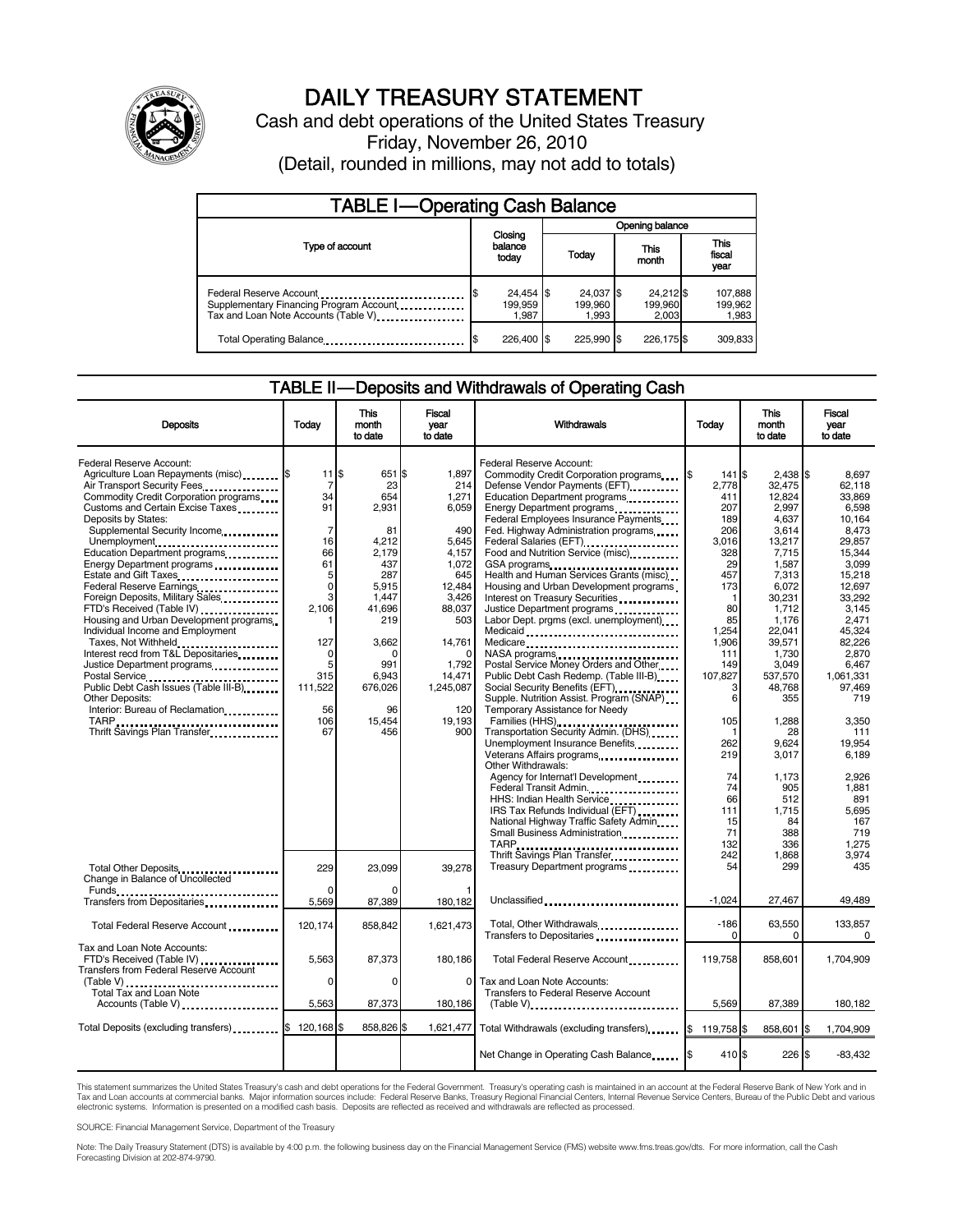

# DAILY TREASURY STATEMENT

Cash and debt operations of the United States Treasury Friday, November 26, 2010 (Detail, rounded in millions, may not add to totals)

| <b>TABLE I-Operating Cash Balance</b>                                                                      |                               |                               |                               |                             |  |  |  |  |
|------------------------------------------------------------------------------------------------------------|-------------------------------|-------------------------------|-------------------------------|-----------------------------|--|--|--|--|
|                                                                                                            |                               |                               |                               | Opening balance             |  |  |  |  |
| Type of account                                                                                            | Closing<br>balance<br>today   | Today                         | This<br>month                 | This<br>fiscal<br>year      |  |  |  |  |
| Federal Reserve Account<br>Supplementary Financing Program Account<br>Tax and Loan Note Accounts (Table V) | 24,454 \$<br>199.959<br>1.987 | 24,037 \$<br>199.960<br>1.993 | 24,212 \$<br>199,960<br>2.003 | 107,888<br>199,962<br>1,983 |  |  |  |  |
| Total Operating Balance                                                                                    | 226.400 \$                    | 225.990 \$                    | 226.175 \$                    | 309,833                     |  |  |  |  |

#### TABLE II — Deposits and Withdrawals of Operating Cash

| <b>Deposits</b>                                                                                                                                                                                                                                                                                                                                                                                                                                                                                                                                                                                                                                                                                                                                                                       | Todav                                                                                                                                                                        | This<br>month<br>to date                                                                                                                                              | Fiscal<br>year<br>to date                                                                                                                                                     | Withdrawals                                                                                                                                                                                                                                                                                                                                                                                                                                                                                                                                                                                                                                                                                                                                                                                                                                                                                                 | Todav                                                                                                                                                                              | <b>This</b><br>month<br>to date                                                                                                                                                                                                | Fiscal<br>vear<br>to date                                                                                                                                                                                                        |
|---------------------------------------------------------------------------------------------------------------------------------------------------------------------------------------------------------------------------------------------------------------------------------------------------------------------------------------------------------------------------------------------------------------------------------------------------------------------------------------------------------------------------------------------------------------------------------------------------------------------------------------------------------------------------------------------------------------------------------------------------------------------------------------|------------------------------------------------------------------------------------------------------------------------------------------------------------------------------|-----------------------------------------------------------------------------------------------------------------------------------------------------------------------|-------------------------------------------------------------------------------------------------------------------------------------------------------------------------------|-------------------------------------------------------------------------------------------------------------------------------------------------------------------------------------------------------------------------------------------------------------------------------------------------------------------------------------------------------------------------------------------------------------------------------------------------------------------------------------------------------------------------------------------------------------------------------------------------------------------------------------------------------------------------------------------------------------------------------------------------------------------------------------------------------------------------------------------------------------------------------------------------------------|------------------------------------------------------------------------------------------------------------------------------------------------------------------------------------|--------------------------------------------------------------------------------------------------------------------------------------------------------------------------------------------------------------------------------|----------------------------------------------------------------------------------------------------------------------------------------------------------------------------------------------------------------------------------|
| Federal Reserve Account:<br>Agriculture Loan Repayments (misc) [\$<br>Air Transport Security Fees<br>Commodity Credit Corporation programs<br>Customs and Certain Excise Taxes<br>Deposits by States:<br>Supplemental Security Income<br>Unemployment<br>Education Department programs<br>Energy Department programs<br>Estate and Gift Taxes<br>Federal Reserve Earnings<br>Foreign Deposits, Military Sales<br>FTD's Received (Table IV)<br>Housing and Urban Development programs<br>Individual Income and Employment<br>Taxes, Not Withheld<br>Interest recd from T&L Depositaries<br>Justice Department programs<br>Postal Service<br>Public Debt Cash Issues (Table III-B)<br><b>Other Deposits:</b><br>Interior: Bureau of Reclamation<br>TARP<br>Thrift Savings Plan Transfer | $11$ $\overline{\phantom{.0}5}$<br>7<br>34<br>91<br>$\overline{7}$<br>16<br>66<br>61<br>5<br>0<br>3<br>2.106<br>127<br>$\mathbf 0$<br>5<br>315<br>111,522<br>56<br>106<br>67 | 651 \$<br>23<br>654<br>2,931<br>81<br>4,212<br>2,179<br>437<br>287<br>5,915<br>1,447<br>41,696<br>219<br>3,662<br>n<br>991<br>6,943<br>676,026<br>96<br>15,454<br>456 | 1,897<br>214<br>1,271<br>6,059<br>490<br>5,645<br>4,157<br>1,072<br>645<br>12,484<br>3.426<br>88,037<br>503<br>14,761<br>1,792<br>14,471<br>1,245,087<br>120<br>19,193<br>900 | Federal Reserve Account:<br>Commodity Credit Corporation programs<br>Defense Vendor Payments (EFT)<br>Education Department programs<br>Energy Department programs<br>Federal Employees Insurance Payments<br>Fed. Highway Administration programs<br>Federal Salaries (EFT)<br>1991 - Pateral Salaries (EFT)<br>Food and Nutrition Service (misc)<br>GSA programs<br>Health and Human Services Grants (misc)<br>Housing and Urban Development programs<br>Interest on Treasury Securities<br>Justice Department programs<br>Labor Dept. prgms (excl. unemployment)<br>Medicaid<br>Medicare<br>NASA programs<br>Postal Service Money Orders and Other<br>Public Debt Cash Redemp. (Table III-B)<br>Social Security Benefits (EFT)<br>Supple. Nutrition Assist. Program (SNAP)<br>Temporary Assistance for Needy<br>Families (HHS)<br>Transportation Security Admin. (DHS)<br>Unemployment Insurance Benefits | $141$ $$$<br>I\$<br>2.778<br>411<br>207<br>189<br>206<br>3,016<br>328<br>29<br>457<br>173<br>1<br>80<br>85<br>1,254<br>1.906<br>111<br>149<br>107,827<br>3<br>6<br>105<br>1<br>262 | $2.438$ \\$<br>32.475<br>12,824<br>2,997<br>4,637<br>3.614<br>13,217<br>7,715<br>1,587<br>7,313<br>6,072<br>30,231<br>1,712<br>1,176<br>22,041<br>39,571<br>1,730<br>3,049<br>537,570<br>48,768<br>355<br>1,288<br>28<br>9.624 | 8.697<br>62.118<br>33,869<br>6,598<br>10,164<br>8.473<br>29,857<br>15,344<br>3.099<br>15,218<br>12,697<br>33.292<br>3.145<br>2,471<br>45,324<br>82.226<br>2.870<br>6,467<br>1,061,331<br>97,469<br>719<br>3,350<br>111<br>19.954 |
| Total Other Deposits                                                                                                                                                                                                                                                                                                                                                                                                                                                                                                                                                                                                                                                                                                                                                                  | 229                                                                                                                                                                          | 23.099                                                                                                                                                                | 39.278                                                                                                                                                                        | Other Withdrawals:<br>Agency for Internat'l Development<br>Federal Transit Admin.<br>HHS: Indian Health Service<br>IRS Tax Refunds Individual (EFT)<br>National Highway Traffic Safety Admin<br>Small Business Administration<br>Thrift Savings Plan Transfer<br>Treasury Department programs                                                                                                                                                                                                                                                                                                                                                                                                                                                                                                                                                                                                               | 219<br>74<br>74<br>66<br>111<br>15<br>71<br>132<br>242<br>54                                                                                                                       | 3,017<br>1,173<br>905<br>512<br>1,715<br>84<br>388<br>336<br>1.868<br>299                                                                                                                                                      | 6,189<br>2,926<br>1,881<br>891<br>5,695<br>167<br>719<br>1,275<br>3.974<br>435                                                                                                                                                   |
| Change in Balance of Uncollected<br>Funds<br>Transfers from Depositaries                                                                                                                                                                                                                                                                                                                                                                                                                                                                                                                                                                                                                                                                                                              | $\Omega$<br>5,569                                                                                                                                                            | 87,389                                                                                                                                                                | 180,182                                                                                                                                                                       | Unclassified                                                                                                                                                                                                                                                                                                                                                                                                                                                                                                                                                                                                                                                                                                                                                                                                                                                                                                | $-1.024$                                                                                                                                                                           | 27,467                                                                                                                                                                                                                         | 49.489                                                                                                                                                                                                                           |
| Total Federal Reserve Account                                                                                                                                                                                                                                                                                                                                                                                                                                                                                                                                                                                                                                                                                                                                                         | 120,174                                                                                                                                                                      | 858,842                                                                                                                                                               | 1,621,473                                                                                                                                                                     | Total, Other Withdrawals<br>Transfers to Depositaries                                                                                                                                                                                                                                                                                                                                                                                                                                                                                                                                                                                                                                                                                                                                                                                                                                                       | $-186$<br>$\Omega$                                                                                                                                                                 | 63,550<br>$\Omega$                                                                                                                                                                                                             | 133,857<br>$\Omega$                                                                                                                                                                                                              |
| Tax and Loan Note Accounts:<br>FTD's Received (Table IV)<br>Transfers from Federal Reserve Account<br>(Table V)                                                                                                                                                                                                                                                                                                                                                                                                                                                                                                                                                                                                                                                                       | 5,563<br>0                                                                                                                                                                   | 87,373<br>$\Omega$                                                                                                                                                    | 180,186<br>0                                                                                                                                                                  | Total Federal Reserve Account<br>Tax and Loan Note Accounts:                                                                                                                                                                                                                                                                                                                                                                                                                                                                                                                                                                                                                                                                                                                                                                                                                                                | 119.758                                                                                                                                                                            | 858.601                                                                                                                                                                                                                        | 1,704,909                                                                                                                                                                                                                        |
| Total Tax and Loan Note<br>Accounts (Table V)                                                                                                                                                                                                                                                                                                                                                                                                                                                                                                                                                                                                                                                                                                                                         | 5,563                                                                                                                                                                        | 87,373                                                                                                                                                                | 180,186                                                                                                                                                                       | Transfers to Federal Reserve Account<br>$(Table V)$                                                                                                                                                                                                                                                                                                                                                                                                                                                                                                                                                                                                                                                                                                                                                                                                                                                         | 5,569                                                                                                                                                                              | 87,389                                                                                                                                                                                                                         | 180,182                                                                                                                                                                                                                          |
| Total Deposits (excluding transfers) <b>S</b>                                                                                                                                                                                                                                                                                                                                                                                                                                                                                                                                                                                                                                                                                                                                         | 120,168                                                                                                                                                                      | 858,826 \$                                                                                                                                                            | 1,621,477                                                                                                                                                                     | Total Withdrawals (excluding transfers) [\$119,758                                                                                                                                                                                                                                                                                                                                                                                                                                                                                                                                                                                                                                                                                                                                                                                                                                                          |                                                                                                                                                                                    | 858,601 \$                                                                                                                                                                                                                     | 1,704,909                                                                                                                                                                                                                        |
|                                                                                                                                                                                                                                                                                                                                                                                                                                                                                                                                                                                                                                                                                                                                                                                       |                                                                                                                                                                              |                                                                                                                                                                       |                                                                                                                                                                               | Net Change in Operating Cash Balance                                                                                                                                                                                                                                                                                                                                                                                                                                                                                                                                                                                                                                                                                                                                                                                                                                                                        | 410 \$                                                                                                                                                                             | 226S                                                                                                                                                                                                                           | $-83,432$                                                                                                                                                                                                                        |

This statement summarizes the United States Treasury's cash and debt operations for the Federal Government. Treasury's operating cash is maintained in an account at the Federal Reserve Bank of New York and in<br>Tax and Loan electronic systems. Information is presented on a modified cash basis. Deposits are reflected as received and withdrawals are reflected as processed.

SOURCE: Financial Management Service, Department of the Treasury

Note: The Daily Treasury Statement (DTS) is available by 4:00 p.m. the following business day on the Financial Management Service (FMS) website www.fms.treas.gov/dts. For more information, call the Cash Forecasting Division at 202-874-9790.